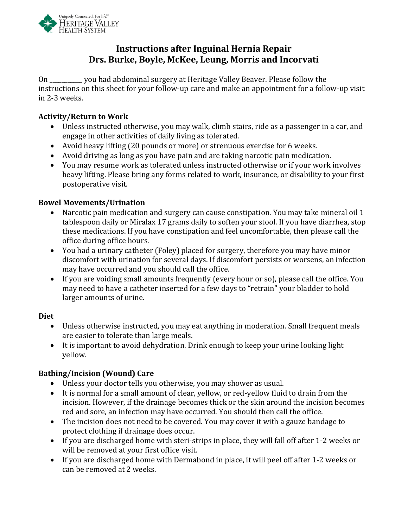

# **Instructions after Inguinal Hernia Repair Drs. Burke, Boyle, McKee, Leung, Morris and Incorvati**

On \_\_\_\_\_\_\_\_\_\_\_ you had abdominal surgery at Heritage Valley Beaver. Please follow the instructions on this sheet for your follow-up care and make an appointment for a follow-up visit in 2-3 weeks.

### **Activity/Return to Work**

- Unless instructed otherwise, you may walk, climb stairs, ride as a passenger in a car, and engage in other activities of daily living as tolerated.
- Avoid heavy lifting (20 pounds or more) or strenuous exercise for 6 weeks.
- Avoid driving as long as you have pain and are taking narcotic pain medication.
- You may resume work as tolerated unless instructed otherwise or if your work involves heavy lifting. Please bring any forms related to work, insurance, or disability to your first postoperative visit.

### **Bowel Movements/Urination**

- Narcotic pain medication and surgery can cause constipation. You may take mineral oil 1 tablespoon daily or Miralax 17 grams daily to soften your stool. If you have diarrhea, stop these medications. If you have constipation and feel uncomfortable, then please call the office during office hours.
- You had a urinary catheter (Foley) placed for surgery, therefore you may have minor discomfort with urination for several days. If discomfort persists or worsens, an infection may have occurred and you should call the office.
- If you are voiding small amounts frequently (every hour or so), please call the office. You may need to have a catheter inserted for a few days to "retrain" your bladder to hold larger amounts of urine.

#### **Diet**

- Unless otherwise instructed, you may eat anything in moderation. Small frequent meals are easier to tolerate than large meals.
- It is important to avoid dehydration. Drink enough to keep your urine looking light yellow.

# **Bathing/Incision (Wound) Care**

- Unless your doctor tells you otherwise, you may shower as usual.
- It is normal for a small amount of clear, yellow, or red-yellow fluid to drain from the incision. However, if the drainage becomes thick or the skin around the incision becomes red and sore, an infection may have occurred. You should then call the office.
- The incision does not need to be covered. You may cover it with a gauze bandage to protect clothing if drainage does occur.
- If you are discharged home with steri-strips in place, they will fall off after 1-2 weeks or will be removed at your first office visit.
- If you are discharged home with Dermabond in place, it will peel off after 1-2 weeks or can be removed at 2 weeks.